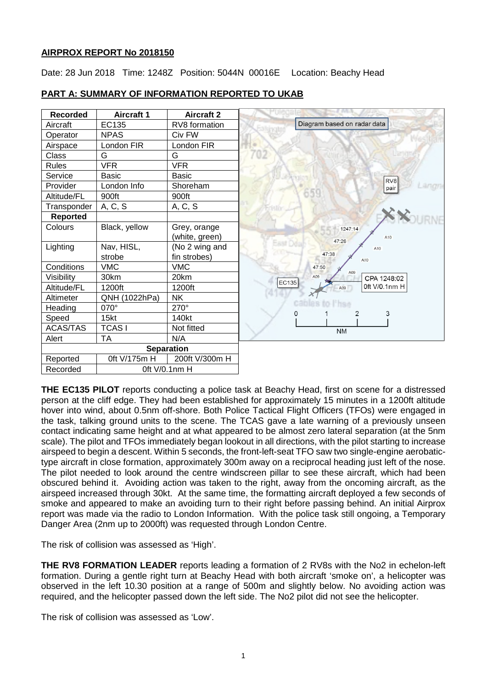### **AIRPROX REPORT No 2018150**

Date: 28 Jun 2018 Time: 1248Z Position: 5044N 00016E Location: Beachy Head

| <b>Recorded</b>   | <b>Aircraft 1</b> | <b>Aircraft 2</b> |  |
|-------------------|-------------------|-------------------|--|
| Aircraft          | EC135             | RV8 formation     |  |
| Operator          | <b>NPAS</b>       | Civ FW            |  |
| Airspace          | London FIR        | London FIR        |  |
| Class             | G                 | G                 |  |
| <b>Rules</b>      | <b>VFR</b>        | <b>VFR</b>        |  |
| Service           | <b>Basic</b>      | <b>Basic</b>      |  |
| Provider          | London Info       | Shoreham          |  |
| Altitude/FL       | 900ft             | 900ft             |  |
| Transponder       | A, C, S           | A, C, S           |  |
| <b>Reported</b>   |                   |                   |  |
| Colours           | Black, yellow     | Grey, orange      |  |
|                   |                   | (white, green)    |  |
| Lighting          | Nav, HISL,        | (No 2 wing and    |  |
|                   | strobe            | fin strobes)      |  |
| Conditions        | <b>VMC</b>        | <b>VMC</b>        |  |
| Visibility        | 30km              | 20km              |  |
| Altitude/FL       | 1200ft            | 1200ft            |  |
| Altimeter         | QNH (1022hPa)     | NΚ                |  |
| Heading           | 070°              | 270°              |  |
| Speed             | 15 <sub>kt</sub>  | 140kt             |  |
| <b>ACAS/TAS</b>   | <b>TCASI</b>      | Not fitted        |  |
| Alert             | <b>TA</b>         | N/A               |  |
| <b>Separation</b> |                   |                   |  |
| Reported          | 0ft V/175m H      | 200ft V/300m H    |  |
| Recorded          |                   | Oft V/0.1nm H     |  |

## **PART A: SUMMARY OF INFORMATION REPORTED TO UKAB**

**THE EC135 PILOT** reports conducting a police task at Beachy Head, first on scene for a distressed person at the cliff edge. They had been established for approximately 15 minutes in a 1200ft altitude hover into wind, about 0.5nm off-shore. Both Police Tactical Flight Officers (TFOs) were engaged in the task, talking ground units to the scene. The TCAS gave a late warning of a previously unseen contact indicating same height and at what appeared to be almost zero lateral separation (at the 5nm scale). The pilot and TFOs immediately began lookout in all directions, with the pilot starting to increase airspeed to begin a descent. Within 5 seconds, the front-left-seat TFO saw two single-engine aerobatictype aircraft in close formation, approximately 300m away on a reciprocal heading just left of the nose. The pilot needed to look around the centre windscreen pillar to see these aircraft, which had been obscured behind it. Avoiding action was taken to the right, away from the oncoming aircraft, as the airspeed increased through 30kt. At the same time, the formatting aircraft deployed a few seconds of smoke and appeared to make an avoiding turn to their right before passing behind. An initial Airprox report was made via the radio to London Information. With the police task still ongoing, a Temporary Danger Area (2nm up to 2000ft) was requested through London Centre.

The risk of collision was assessed as 'High'.

**THE RV8 FORMATION LEADER** reports leading a formation of 2 RV8s with the No2 in echelon-left formation. During a gentle right turn at Beachy Head with both aircraft 'smoke on', a helicopter was observed in the left 10.30 position at a range of 500m and slightly below. No avoiding action was required, and the helicopter passed down the left side. The No2 pilot did not see the helicopter.

The risk of collision was assessed as 'Low'.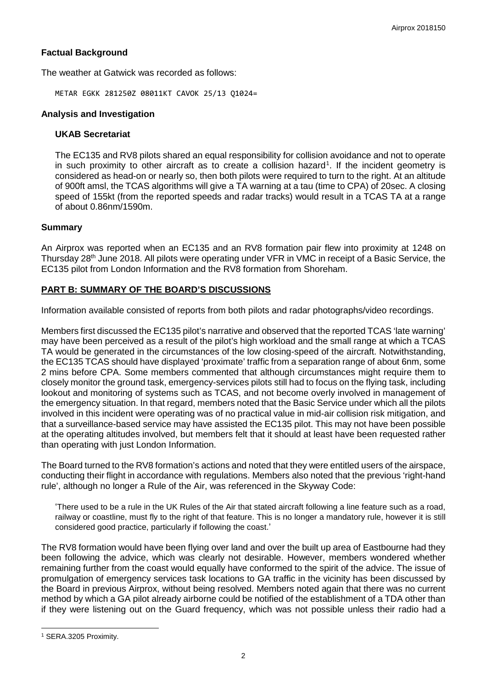## **Factual Background**

The weather at Gatwick was recorded as follows:

METAR EGKK 281250Z 08011KT CAVOK 25/13 Q1024=

### **Analysis and Investigation**

#### **UKAB Secretariat**

The EC135 and RV8 pilots shared an equal responsibility for collision avoidance and not to operate in such proximity to other aircraft as to create a collision hazard<sup>[1](#page-1-0)</sup>. If the incident geometry is considered as head-on or nearly so, then both pilots were required to turn to the right. At an altitude of 900ft amsl, the TCAS algorithms will give a TA warning at a tau (time to CPA) of 20sec. A closing speed of 155kt (from the reported speeds and radar tracks) would result in a TCAS TA at a range of about 0.86nm/1590m.

### **Summary**

An Airprox was reported when an EC135 and an RV8 formation pair flew into proximity at 1248 on Thursday 28<sup>th</sup> June 2018. All pilots were operating under VFR in VMC in receipt of a Basic Service, the EC135 pilot from London Information and the RV8 formation from Shoreham.

# **PART B: SUMMARY OF THE BOARD'S DISCUSSIONS**

Information available consisted of reports from both pilots and radar photographs/video recordings.

Members first discussed the EC135 pilot's narrative and observed that the reported TCAS 'late warning' may have been perceived as a result of the pilot's high workload and the small range at which a TCAS TA would be generated in the circumstances of the low closing-speed of the aircraft. Notwithstanding, the EC135 TCAS should have displayed 'proximate' traffic from a separation range of about 6nm, some 2 mins before CPA. Some members commented that although circumstances might require them to closely monitor the ground task, emergency-services pilots still had to focus on the flying task, including lookout and monitoring of systems such as TCAS, and not become overly involved in management of the emergency situation. In that regard, members noted that the Basic Service under which all the pilots involved in this incident were operating was of no practical value in mid-air collision risk mitigation, and that a surveillance-based service may have assisted the EC135 pilot. This may not have been possible at the operating altitudes involved, but members felt that it should at least have been requested rather than operating with just London Information.

The Board turned to the RV8 formation's actions and noted that they were entitled users of the airspace, conducting their flight in accordance with regulations. Members also noted that the previous 'right-hand rule', although no longer a Rule of the Air, was referenced in the Skyway Code:

'There used to be a rule in the UK Rules of the Air that stated aircraft following a line feature such as a road, railway or coastline, must fly to the right of that feature. This is no longer a mandatory rule, however it is still considered good practice, particularly if following the coast.'

The RV8 formation would have been flying over land and over the built up area of Eastbourne had they been following the advice, which was clearly not desirable. However, members wondered whether remaining further from the coast would equally have conformed to the spirit of the advice. The issue of promulgation of emergency services task locations to GA traffic in the vicinity has been discussed by the Board in previous Airprox, without being resolved. Members noted again that there was no current method by which a GA pilot already airborne could be notified of the establishment of a TDA other than if they were listening out on the Guard frequency, which was not possible unless their radio had a

 $\overline{\phantom{a}}$ 

<span id="page-1-0"></span><sup>1</sup> SERA.3205 Proximity.